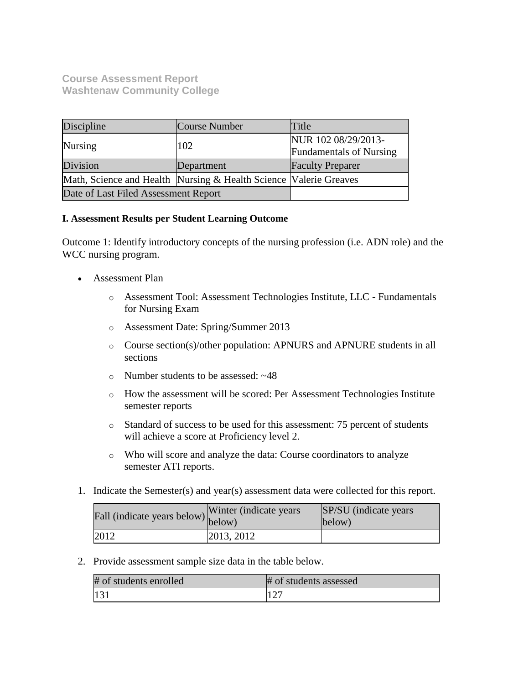# **Course Assessment Report Washtenaw Community College**

| Discipline                                                         | Course Number | Title                                                 |  |
|--------------------------------------------------------------------|---------------|-------------------------------------------------------|--|
| Nursing                                                            | 102           | NUR 102 08/29/2013-<br><b>Fundamentals of Nursing</b> |  |
| Division                                                           | Department    | <b>Faculty Preparer</b>                               |  |
| Math, Science and Health Nursing & Health Science  Valerie Greaves |               |                                                       |  |
| Date of Last Filed Assessment Report                               |               |                                                       |  |

## **I. Assessment Results per Student Learning Outcome**

Outcome 1: Identify introductory concepts of the nursing profession (i.e. ADN role) and the WCC nursing program.

- Assessment Plan
	- o Assessment Tool: Assessment Technologies Institute, LLC Fundamentals for Nursing Exam
	- o Assessment Date: Spring/Summer 2013
	- o Course section(s)/other population: APNURS and APNURE students in all sections
	- o Number students to be assessed: ~48
	- o How the assessment will be scored: Per Assessment Technologies Institute semester reports
	- o Standard of success to be used for this assessment: 75 percent of students will achieve a score at Proficiency level 2.
	- o Who will score and analyze the data: Course coordinators to analyze semester ATI reports.
- 1. Indicate the Semester(s) and year(s) assessment data were collected for this report.

| Fall (indicate years below) below) | Winter (indicate years) | SP/SU (indicate years)<br>below) |
|------------------------------------|-------------------------|----------------------------------|
| 2012                               | 2013, 2012              |                                  |

2. Provide assessment sample size data in the table below.

| # of students enrolled | # of students assessed |
|------------------------|------------------------|
| $ 13\rangle$           |                        |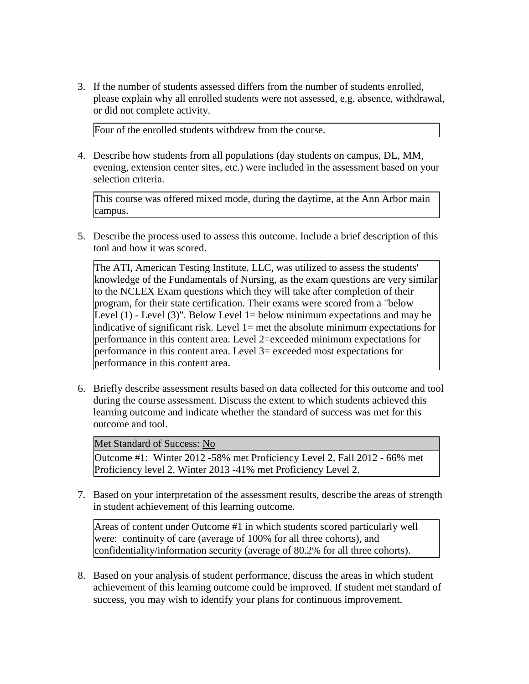3. If the number of students assessed differs from the number of students enrolled, please explain why all enrolled students were not assessed, e.g. absence, withdrawal, or did not complete activity.

Four of the enrolled students withdrew from the course.

4. Describe how students from all populations (day students on campus, DL, MM, evening, extension center sites, etc.) were included in the assessment based on your selection criteria.

This course was offered mixed mode, during the daytime, at the Ann Arbor main campus.

5. Describe the process used to assess this outcome. Include a brief description of this tool and how it was scored.

The ATI, American Testing Institute, LLC, was utilized to assess the students' knowledge of the Fundamentals of Nursing, as the exam questions are very similar to the NCLEX Exam questions which they will take after completion of their program, for their state certification. Their exams were scored from a "below Level  $(1)$  - Level  $(3)$ ". Below Level 1 = below minimum expectations and may be indicative of significant risk. Level 1= met the absolute minimum expectations for performance in this content area. Level 2=exceeded minimum expectations for performance in this content area. Level 3= exceeded most expectations for performance in this content area.

6. Briefly describe assessment results based on data collected for this outcome and tool during the course assessment. Discuss the extent to which students achieved this learning outcome and indicate whether the standard of success was met for this outcome and tool.

Met Standard of Success: No

Outcome #1: Winter 2012 -58% met Proficiency Level 2. Fall 2012 - 66% met Proficiency level 2. Winter 2013 -41% met Proficiency Level 2.

7. Based on your interpretation of the assessment results, describe the areas of strength in student achievement of this learning outcome.

Areas of content under Outcome #1 in which students scored particularly well were: continuity of care (average of 100% for all three cohorts), and confidentiality/information security (average of 80.2% for all three cohorts).

8. Based on your analysis of student performance, discuss the areas in which student achievement of this learning outcome could be improved. If student met standard of success, you may wish to identify your plans for continuous improvement.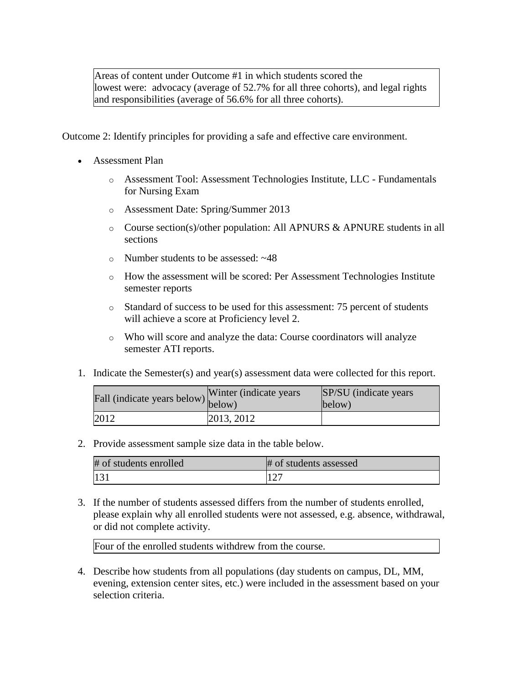Areas of content under Outcome #1 in which students scored the lowest were: advocacy (average of 52.7% for all three cohorts), and legal rights and responsibilities (average of 56.6% for all three cohorts).

Outcome 2: Identify principles for providing a safe and effective care environment.

- Assessment Plan
	- o Assessment Tool: Assessment Technologies Institute, LLC Fundamentals for Nursing Exam
	- o Assessment Date: Spring/Summer 2013
	- o Course section(s)/other population: All APNURS & APNURE students in all sections
	- o Number students to be assessed: ~48
	- $\circ$  How the assessment will be scored: Per Assessment Technologies Institute semester reports
	- o Standard of success to be used for this assessment: 75 percent of students will achieve a score at Proficiency level 2.
	- o Who will score and analyze the data: Course coordinators will analyze semester ATI reports.
- 1. Indicate the Semester(s) and year(s) assessment data were collected for this report.

| Fall (indicate years below) below) | Winter (indicate years) | SP/SU (indicate years)<br>below) |
|------------------------------------|-------------------------|----------------------------------|
| 2012                               | 2013, 2012              |                                  |

2. Provide assessment sample size data in the table below.

| # of students enrolled | # of students assessed |
|------------------------|------------------------|
| $ 13\rangle$           |                        |

3. If the number of students assessed differs from the number of students enrolled, please explain why all enrolled students were not assessed, e.g. absence, withdrawal, or did not complete activity.

Four of the enrolled students withdrew from the course.

4. Describe how students from all populations (day students on campus, DL, MM, evening, extension center sites, etc.) were included in the assessment based on your selection criteria.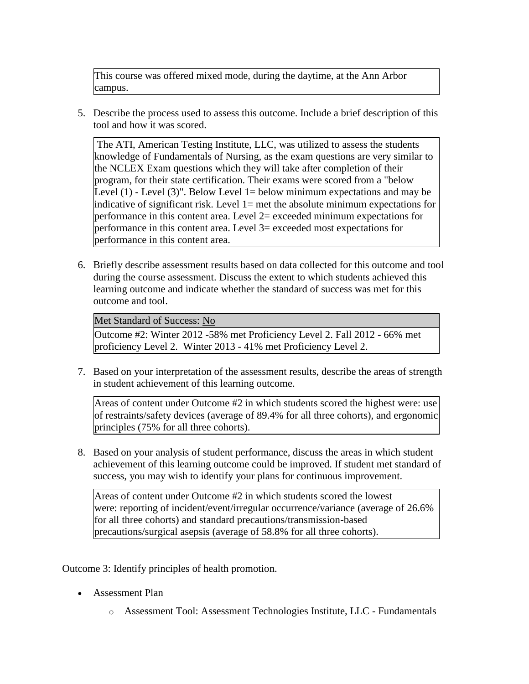This course was offered mixed mode, during the daytime, at the Ann Arbor campus.

5. Describe the process used to assess this outcome. Include a brief description of this tool and how it was scored.

The ATI, American Testing Institute, LLC, was utilized to assess the students knowledge of Fundamentals of Nursing, as the exam questions are very similar to the NCLEX Exam questions which they will take after completion of their program, for their state certification. Their exams were scored from a "below Level  $(1)$  - Level  $(3)$ ". Below Level 1 = below minimum expectations and may be indicative of significant risk. Level 1= met the absolute minimum expectations for performance in this content area. Level  $2$ = exceeded minimum expectations for performance in this content area. Level 3= exceeded most expectations for performance in this content area.

6. Briefly describe assessment results based on data collected for this outcome and tool during the course assessment. Discuss the extent to which students achieved this learning outcome and indicate whether the standard of success was met for this outcome and tool.

Met Standard of Success: No

Outcome #2: Winter 2012 -58% met Proficiency Level 2. Fall 2012 - 66% met proficiency Level 2. Winter 2013 - 41% met Proficiency Level 2.

7. Based on your interpretation of the assessment results, describe the areas of strength in student achievement of this learning outcome.

Areas of content under Outcome #2 in which students scored the highest were: use of restraints/safety devices (average of 89.4% for all three cohorts), and ergonomic principles (75% for all three cohorts).

8. Based on your analysis of student performance, discuss the areas in which student achievement of this learning outcome could be improved. If student met standard of success, you may wish to identify your plans for continuous improvement.

Areas of content under Outcome #2 in which students scored the lowest were: reporting of incident/event/irregular occurrence/variance (average of 26.6% for all three cohorts) and standard precautions/transmission-based precautions/surgical asepsis (average of 58.8% for all three cohorts).

Outcome 3: Identify principles of health promotion.

- Assessment Plan
	- o Assessment Tool: Assessment Technologies Institute, LLC Fundamentals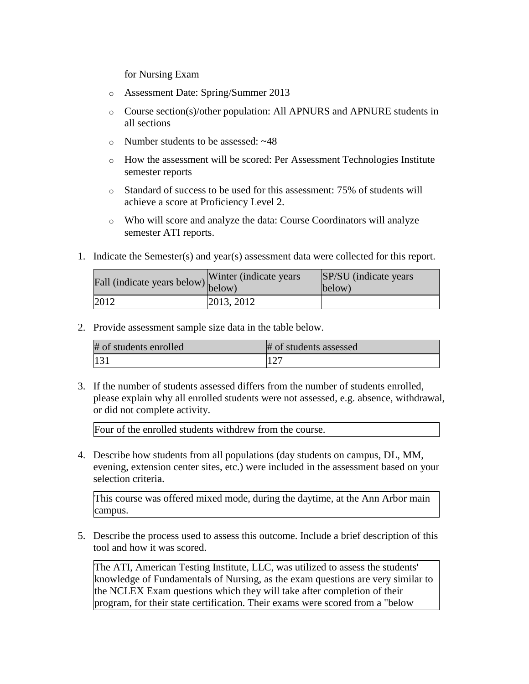for Nursing Exam

- o Assessment Date: Spring/Summer 2013
- o Course section(s)/other population: All APNURS and APNURE students in all sections
- o Number students to be assessed: ~48
- $\circ$  How the assessment will be scored: Per Assessment Technologies Institute semester reports
- o Standard of success to be used for this assessment: 75% of students will achieve a score at Proficiency Level 2.
- o Who will score and analyze the data: Course Coordinators will analyze semester ATI reports.
- 1. Indicate the Semester(s) and year(s) assessment data were collected for this report.

| Fall (indicate years below) $\begin{bmatrix} \text{w}\text{m} \\ \text{below} \end{bmatrix}$ | Winter (indicate years) | SP/SU (indicate years)<br>below) |
|----------------------------------------------------------------------------------------------|-------------------------|----------------------------------|
| 2012                                                                                         | 2013, 2012              |                                  |

2. Provide assessment sample size data in the table below.

| # of students enrolled | # of students assessed |
|------------------------|------------------------|
| 131                    |                        |

3. If the number of students assessed differs from the number of students enrolled, please explain why all enrolled students were not assessed, e.g. absence, withdrawal, or did not complete activity.

Four of the enrolled students withdrew from the course.

4. Describe how students from all populations (day students on campus, DL, MM, evening, extension center sites, etc.) were included in the assessment based on your selection criteria.

This course was offered mixed mode, during the daytime, at the Ann Arbor main campus.

5. Describe the process used to assess this outcome. Include a brief description of this tool and how it was scored.

The ATI, American Testing Institute, LLC, was utilized to assess the students' knowledge of Fundamentals of Nursing, as the exam questions are very similar to the NCLEX Exam questions which they will take after completion of their program, for their state certification. Their exams were scored from a "below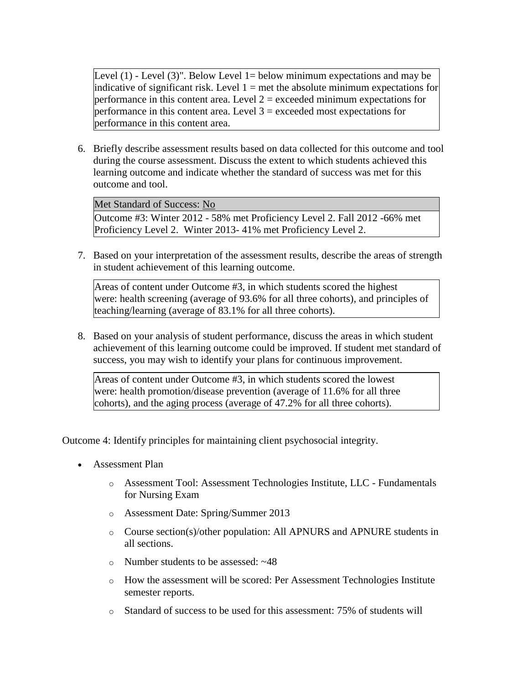Level  $(1)$  - Level  $(3)$ ". Below Level 1 = below minimum expectations and may be indicative of significant risk. Level  $1 =$  met the absolute minimum expectations for performance in this content area. Level  $2 =$  exceeded minimum expectations for performance in this content area. Level  $3 =$  exceeded most expectations for performance in this content area.

6. Briefly describe assessment results based on data collected for this outcome and tool during the course assessment. Discuss the extent to which students achieved this learning outcome and indicate whether the standard of success was met for this outcome and tool.

Met Standard of Success: No

Outcome #3: Winter 2012 - 58% met Proficiency Level 2. Fall 2012 -66% met Proficiency Level 2. Winter 2013- 41% met Proficiency Level 2.

7. Based on your interpretation of the assessment results, describe the areas of strength in student achievement of this learning outcome.

Areas of content under Outcome #3, in which students scored the highest were: health screening (average of 93.6% for all three cohorts), and principles of teaching/learning (average of 83.1% for all three cohorts).

8. Based on your analysis of student performance, discuss the areas in which student achievement of this learning outcome could be improved. If student met standard of success, you may wish to identify your plans for continuous improvement.

Areas of content under Outcome #3, in which students scored the lowest were: health promotion/disease prevention (average of 11.6% for all three cohorts), and the aging process (average of 47.2% for all three cohorts).

Outcome 4: Identify principles for maintaining client psychosocial integrity.

- Assessment Plan
	- o Assessment Tool: Assessment Technologies Institute, LLC Fundamentals for Nursing Exam
	- o Assessment Date: Spring/Summer 2013
	- o Course section(s)/other population: All APNURS and APNURE students in all sections.
	- o Number students to be assessed: ~48
	- o How the assessment will be scored: Per Assessment Technologies Institute semester reports.
	- o Standard of success to be used for this assessment: 75% of students will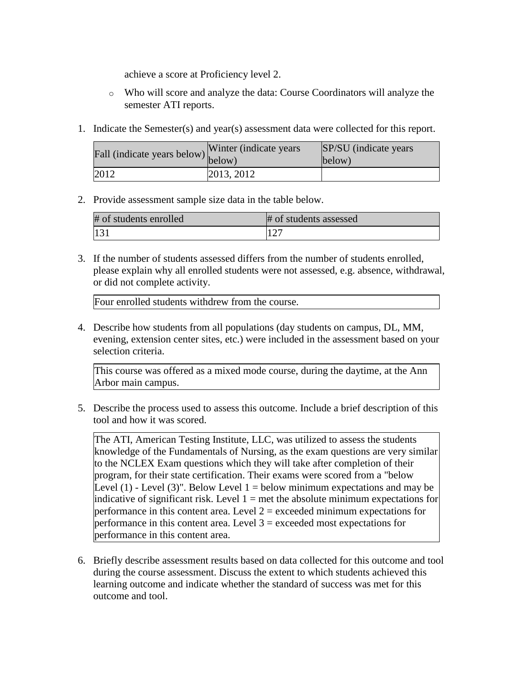achieve a score at Proficiency level 2.

- o Who will score and analyze the data: Course Coordinators will analyze the semester ATI reports.
- 1. Indicate the Semester(s) and year(s) assessment data were collected for this report.

| rall (indicate years below) below) | Winter (indicate years) | SP/SU (indicate years)<br>below) |
|------------------------------------|-------------------------|----------------------------------|
| 2012                               | 2013, 2012              |                                  |

2. Provide assessment sample size data in the table below.

| # of students enrolled | # of students assessed |
|------------------------|------------------------|
|                        | 127                    |

3. If the number of students assessed differs from the number of students enrolled, please explain why all enrolled students were not assessed, e.g. absence, withdrawal, or did not complete activity.

Four enrolled students withdrew from the course.

4. Describe how students from all populations (day students on campus, DL, MM, evening, extension center sites, etc.) were included in the assessment based on your selection criteria.

This course was offered as a mixed mode course, during the daytime, at the Ann Arbor main campus.

5. Describe the process used to assess this outcome. Include a brief description of this tool and how it was scored.

The ATI, American Testing Institute, LLC, was utilized to assess the students knowledge of the Fundamentals of Nursing, as the exam questions are very similar to the NCLEX Exam questions which they will take after completion of their program, for their state certification. Their exams were scored from a "below Level  $(1)$  - Level  $(3)$ ". Below Level  $1 =$  below minimum expectations and may be indicative of significant risk. Level  $1 =$  met the absolute minimum expectations for performance in this content area. Level  $2 =$  exceeded minimum expectations for performance in this content area. Level  $3$  = exceeded most expectations for performance in this content area.

6. Briefly describe assessment results based on data collected for this outcome and tool during the course assessment. Discuss the extent to which students achieved this learning outcome and indicate whether the standard of success was met for this outcome and tool.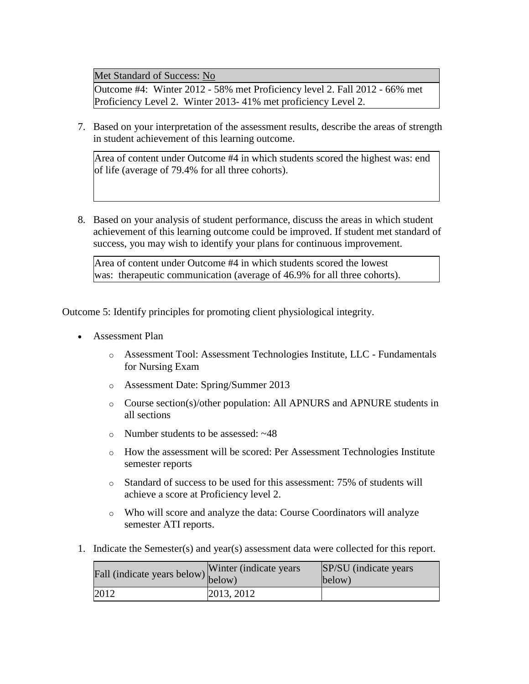Met Standard of Success: No

Outcome #4: Winter 2012 - 58% met Proficiency level 2. Fall 2012 - 66% met Proficiency Level 2. Winter 2013- 41% met proficiency Level 2.

7. Based on your interpretation of the assessment results, describe the areas of strength in student achievement of this learning outcome.

Area of content under Outcome #4 in which students scored the highest was: end of life (average of 79.4% for all three cohorts).

8. Based on your analysis of student performance, discuss the areas in which student achievement of this learning outcome could be improved. If student met standard of success, you may wish to identify your plans for continuous improvement.

Area of content under Outcome #4 in which students scored the lowest was: therapeutic communication (average of 46.9% for all three cohorts).

Outcome 5: Identify principles for promoting client physiological integrity.

- Assessment Plan
	- o Assessment Tool: Assessment Technologies Institute, LLC Fundamentals for Nursing Exam
	- o Assessment Date: Spring/Summer 2013
	- o Course section(s)/other population: All APNURS and APNURE students in all sections
	- o Number students to be assessed: ~48
	- $\circ$  How the assessment will be scored: Per Assessment Technologies Institute semester reports
	- o Standard of success to be used for this assessment: 75% of students will achieve a score at Proficiency level 2.
	- o Who will score and analyze the data: Course Coordinators will analyze semester ATI reports.
- 1. Indicate the Semester(s) and year(s) assessment data were collected for this report.

| riall (indicate years below) below) | Winter (indicate years) | <b>SP/SU</b> (indicate years)<br>below) |
|-------------------------------------|-------------------------|-----------------------------------------|
| 2012                                | 2013, 2012              |                                         |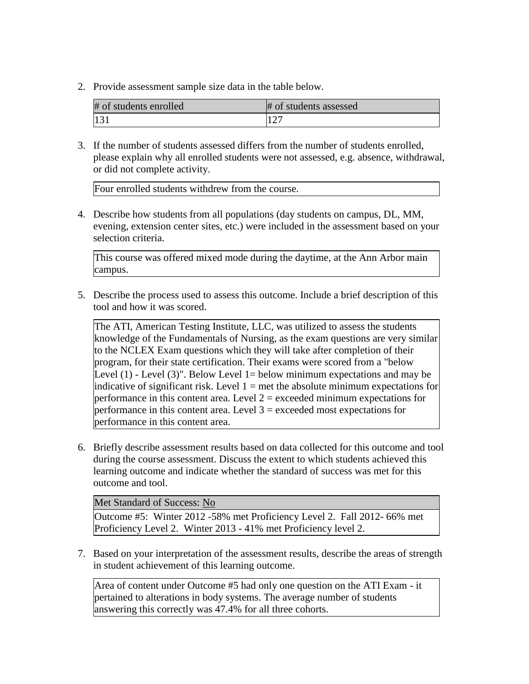2. Provide assessment sample size data in the table below.

| # of students enrolled | # of students assessed |
|------------------------|------------------------|
| 13                     |                        |

3. If the number of students assessed differs from the number of students enrolled, please explain why all enrolled students were not assessed, e.g. absence, withdrawal, or did not complete activity.

Four enrolled students withdrew from the course.

4. Describe how students from all populations (day students on campus, DL, MM, evening, extension center sites, etc.) were included in the assessment based on your selection criteria.

This course was offered mixed mode during the daytime, at the Ann Arbor main campus.

5. Describe the process used to assess this outcome. Include a brief description of this tool and how it was scored.

The ATI, American Testing Institute, LLC, was utilized to assess the students knowledge of the Fundamentals of Nursing, as the exam questions are very similar to the NCLEX Exam questions which they will take after completion of their program, for their state certification. Their exams were scored from a "below Level  $(1)$  - Level  $(3)$ ". Below Level 1 = below minimum expectations and may be indicative of significant risk. Level  $1 =$  met the absolute minimum expectations for performance in this content area. Level  $2 =$  exceeded minimum expectations for performance in this content area. Level  $3 =$  exceeded most expectations for performance in this content area.

6. Briefly describe assessment results based on data collected for this outcome and tool during the course assessment. Discuss the extent to which students achieved this learning outcome and indicate whether the standard of success was met for this outcome and tool.

Met Standard of Success: No

Outcome #5: Winter 2012 -58% met Proficiency Level 2. Fall 2012- 66% met Proficiency Level 2. Winter 2013 - 41% met Proficiency level 2.

7. Based on your interpretation of the assessment results, describe the areas of strength in student achievement of this learning outcome.

Area of content under Outcome #5 had only one question on the ATI Exam - it pertained to alterations in body systems. The average number of students answering this correctly was 47.4% for all three cohorts.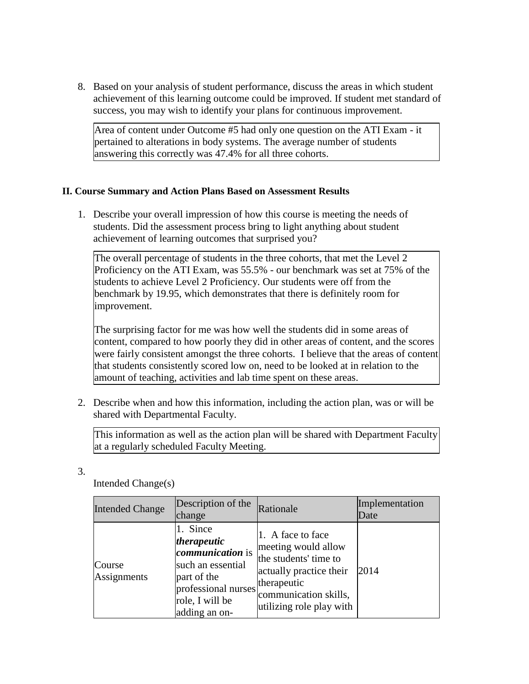8. Based on your analysis of student performance, discuss the areas in which student achievement of this learning outcome could be improved. If student met standard of success, you may wish to identify your plans for continuous improvement.

Area of content under Outcome #5 had only one question on the ATI Exam - it pertained to alterations in body systems. The average number of students answering this correctly was 47.4% for all three cohorts.

## **II. Course Summary and Action Plans Based on Assessment Results**

1. Describe your overall impression of how this course is meeting the needs of students. Did the assessment process bring to light anything about student achievement of learning outcomes that surprised you?

The overall percentage of students in the three cohorts, that met the Level 2 Proficiency on the ATI Exam, was 55.5% - our benchmark was set at 75% of the students to achieve Level 2 Proficiency. Our students were off from the benchmark by 19.95, which demonstrates that there is definitely room for improvement.

The surprising factor for me was how well the students did in some areas of content, compared to how poorly they did in other areas of content, and the scores were fairly consistent amongst the three cohorts. I believe that the areas of content that students consistently scored low on, need to be looked at in relation to the amount of teaching, activities and lab time spent on these areas.

2. Describe when and how this information, including the action plan, was or will be shared with Departmental Faculty.

This information as well as the action plan will be shared with Department Faculty at a regularly scheduled Faculty Meeting.

3.

Intended Change(s)

| <b>Intended Change</b> | Description of the<br>change                                                                                                                      | Rationale                                                                                                                                                        | Implementation<br>Date |
|------------------------|---------------------------------------------------------------------------------------------------------------------------------------------------|------------------------------------------------------------------------------------------------------------------------------------------------------------------|------------------------|
| Course<br>Assignments  | 1. Since<br>therapeutic<br><i>communication</i> is<br>such an essential<br>part of the<br>professional nurses<br>role, I will be<br>adding an on- | 1. A face to face<br>meeting would allow<br>the students' time to<br>actually practice their<br>therapeutic<br>communication skills,<br>utilizing role play with | 2014                   |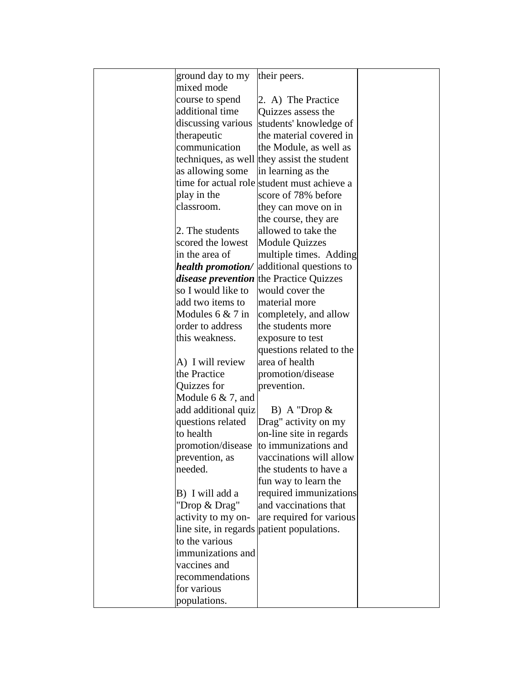| ground day to my     | their peers.                                |  |
|----------------------|---------------------------------------------|--|
| mixed mode           |                                             |  |
| course to spend      | 2. A) The Practice                          |  |
| additional time      | Quizzes assess the                          |  |
| discussing various   | students' knowledge of                      |  |
| therapeutic          | the material covered in                     |  |
| communication        | the Module, as well as                      |  |
|                      | techniques, as well they assist the student |  |
| as allowing some     | in learning as the                          |  |
|                      | time for actual role student must achieve a |  |
| play in the          | score of 78% before                         |  |
| classroom.           | they can move on in                         |  |
|                      | the course, they are                        |  |
| 2. The students      | allowed to take the                         |  |
| scored the lowest    | <b>Module Quizzes</b>                       |  |
| in the area of       | multiple times. Adding                      |  |
| health promotion/    | additional questions to                     |  |
|                      | disease prevention the Practice Quizzes     |  |
| so I would like to   | would cover the                             |  |
| add two items to     | material more                               |  |
| Modules $6 & 7$ in   | completely, and allow                       |  |
| order to address     | the students more                           |  |
| this weakness.       | exposure to test                            |  |
|                      | questions related to the                    |  |
| A) I will review     | area of health                              |  |
| the Practice         | promotion/disease                           |  |
| Quizzes for          | prevention.                                 |  |
| Module $6 & 7$ , and |                                             |  |
| add additional quiz  | B) A "Drop $\&$                             |  |
| questions related    | Drag" activity on my                        |  |
| to health            | on-line site in regards                     |  |
| promotion/disease    | to immunizations and                        |  |
| prevention, as       | vaccinations will allow                     |  |
| needed.              | the students to have a                      |  |
|                      | fun way to learn the                        |  |
| B) I will add a      | required immunizations                      |  |
| "Drop & Drag"        | and vaccinations that                       |  |
| activity to my on-   | are required for various                    |  |
|                      | line site, in regards patient populations.  |  |
| to the various       |                                             |  |
| immunizations and    |                                             |  |
| vaccines and         |                                             |  |
| recommendations      |                                             |  |
| for various          |                                             |  |
| populations.         |                                             |  |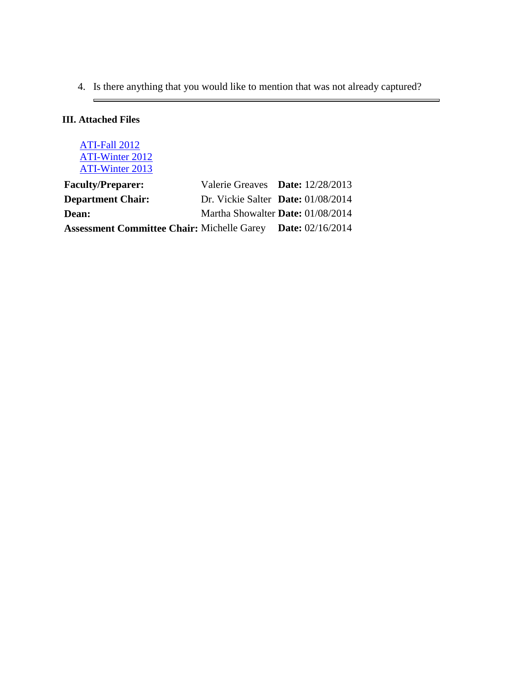4. Is there anything that you would like to mention that was not already captured?

 $\overline{\phantom{0}}$ 

# **III. Attached Files**

 $\blacksquare$ 

| ATI-Fall 2012<br><b>ATI-Winter 2012</b><br>ATI-Winter 2013 |                                          |                           |
|------------------------------------------------------------|------------------------------------------|---------------------------|
| <b>Faculty/Preparer:</b>                                   | Valerie Greaves Date: 12/28/2013         |                           |
| <b>Department Chair:</b>                                   | Dr. Vickie Salter Date: 01/08/2014       |                           |
| Dean:                                                      | Martha Showalter <b>Date:</b> 01/08/2014 |                           |
| <b>Assessment Committee Chair: Michelle Garey</b>          |                                          | <b>Date:</b> $02/16/2014$ |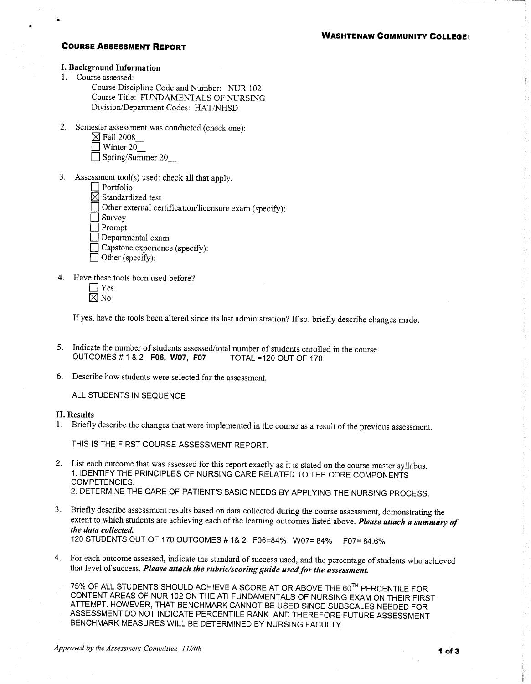### **COURSE ASSESSMENT REPORT**

## **I. Background Information**

1. Course assessed:

Course Discipline Code and Number: NUR 102 Course Title: FUNDAMENTALS OF NURSING Division/Department Codes: HAT/NHSD

- 2. Semester assessment was conducted (check one):
	- $\boxtimes$  Fall 2008
	- $\sqrt{ }$  Winter 20
	- $\Box$  Spring/Summer 20
- 3. Assessment tool(s) used: check all that apply.
	- $\Box$  Portfolio
	- $\overline{\boxtimes}$  Standardized test
	- $\Box$  Other external certification/licensure exam (specify):
	- $\Box$  Survey

Prompt

- Departmental exam
- $\Box$  Capstone experience (specify):
- $\Box$  Other (specify):
- 4. Have these tools been used before?
	- $\Box$  Yes
	- $\boxtimes$  No

If yes, have the tools been altered since its last administration? If so, briefly describe changes made.

- 5. Indicate the number of students assessed/total number of students enrolled in the course. OUTCOMES # 1 & 2 F06, W07, F07 TOTAL =120 OUT OF 170
- 6. Describe how students were selected for the assessment.

ALL STUDENTS IN SEQUENCE

#### II. Results

1. Briefly describe the changes that were implemented in the course as a result of the previous assessment.

THIS IS THE FIRST COURSE ASSESSMENT REPORT.

- 2. List each outcome that was assessed for this report exactly as it is stated on the course master syllabus. 1. IDENTIFY THE PRINCIPLES OF NURSING CARE RELATED TO THE CORE COMPONENTS COMPETENCIES. 2. DETERMINE THE CARE OF PATIENT'S BASIC NEEDS BY APPLYING THE NURSING PROCESS.
- 3. Briefly describe assessment results based on data collected during the course assessment, demonstrating the extent to which students are achieving each of the learning outcomes listed above. Please attach a summary of the data collected. 120 STUDENTS OUT OF 170 OUTCOMES # 1& 2 F06=84% W07= 84% F07= 84.6%
- 4. For each outcome assessed, indicate the standard of success used, and the percentage of students who achieved that level of success. Please attach the rubric/scoring guide used for the assessment.

75% OF ALL STUDENTS SHOULD ACHIEVE A SCORE AT OR ABOVE THE 60<sup>TH</sup> PERCENTILE FOR CONTENT AREAS OF NUR 102 ON THE ATI FUNDAMENTALS OF NURSING EXAM ON THEIR FIRST ATTEMPT. HOWEVER, THAT BENCHMARK CANNOT BE USED SINCE SUBSCALES NEEDED FOR ASSESSMENT DO NOT INDICATE PERCENTILE RANK AND THEREFORE FUTURE ASSESSMENT BENCHMARK MEASURES WILL BE DETERMINED BY NURSING FACULTY.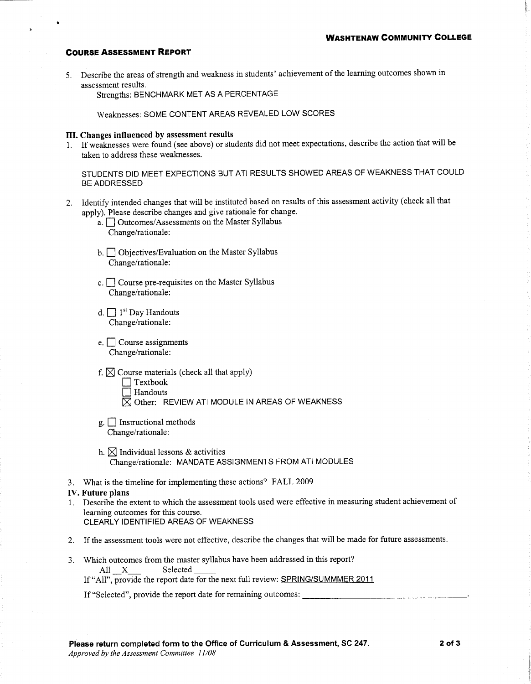### **COURSE ASSESSMENT REPORT**

5. Describe the areas of strength and weakness in students' achievement of the learning outcomes shown in assessment results.

Strengths: BENCHMARK MET AS A PERCENTAGE

Weaknesses: SOME CONTENT AREAS REVEALED LOW SCORES

## III. Changes influenced by assessment results

1. If weaknesses were found (see above) or students did not meet expectations, describe the action that will be taken to address these weaknesses.

STUDENTS DID MEET EXPECTIONS BUT ATI RESULTS SHOWED AREAS OF WEAKNESS THAT COULD BE ADDRESSED

- 2. Identify intended changes that will be instituted based on results of this assessment activity (check all that apply). Please describe changes and give rationale for change.
	- a. <u>Outcomes/Assessments</u> on the Master Syllabus Change/rationale:
	- b. Objectives/Evaluation on the Master Syllabus Change/rationale:
	- c.  $\Box$  Course pre-requisites on the Master Syllabus Change/rationale:
	- d.  $\Box$  1<sup>st</sup> Day Handouts Change/rationale:
	- $e.$  Course assignments Change/rationale:
	- f.  $\boxtimes$  Course materials (check all that apply)
		- $\Box$  Textbook
		- $\Box$  Handouts
		- $\boxtimes$  Other: REVIEW ATI MODULE IN AREAS OF WEAKNESS
	- $g.$  Instructional methods Change/rationale:
	- h.  $\boxtimes$  Individual lessons & activities Change/rationale: MANDATE ASSIGNMENTS FROM ATI MODULES
- 3. What is the timeline for implementing these actions? FALL 2009

#### **IV.** Future plans

- 1. Describe the extent to which the assessment tools used were effective in measuring student achievement of learning outcomes for this course. CLEARLY IDENTIFIED AREAS OF WEAKNESS
- 2. If the assessment tools were not effective, describe the changes that will be made for future assessments.
- 3. Which outcomes from the master syllabus have been addressed in this report? All X Selected

If "All", provide the report date for the next full review: SPRING/SUMMMER 2011

If "Selected", provide the report date for remaining outcomes: